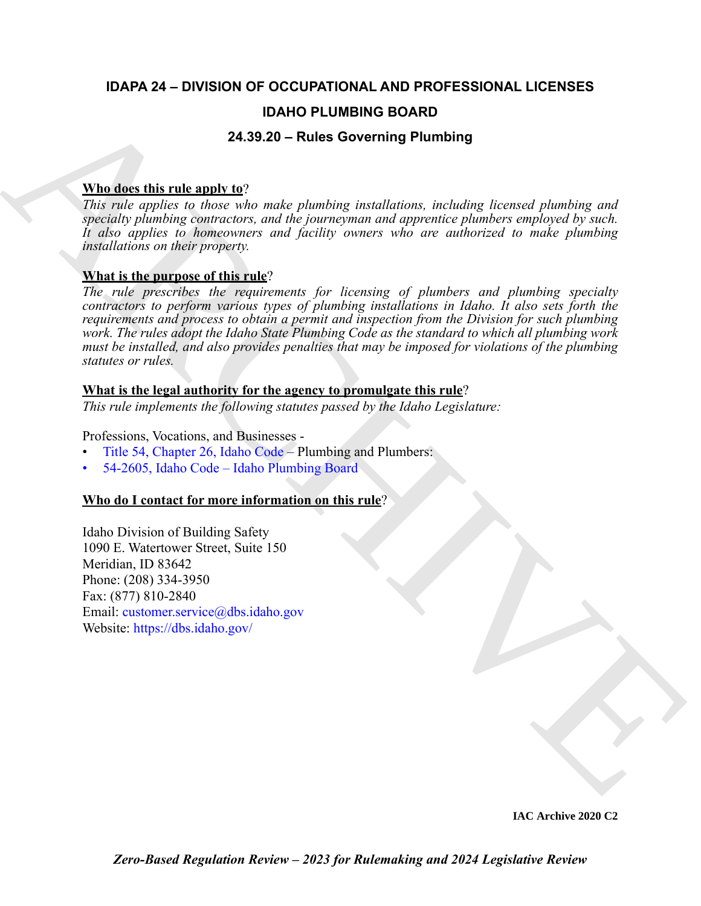# **IDAPA 24 – DIVISION OF OCCUPATIONAL AND PROFESSIONAL LICENSES**

# **IDAHO PLUMBING BOARD**

# **24.39.20 – Rules Governing Plumbing**

# **Who does this rule apply to**?

*This rule applies to those who make plumbing installations, including licensed plumbing and specialty plumbing contractors, and the journeyman and apprentice plumbers employed by such. It also applies to homeowners and facility owners who are authorized to make plumbing installations on their property.*

# **What is the purpose of this rule**?

**IDAHO PLUMBING BOARD**<br> **IDAHO PLUMBING BOARD**<br>
This relationships including tendential properties are able about properties and any interesting the state properties in the rate and any properties the properties the state *The rule prescribes the requirements for licensing of plumbers and plumbing specialty contractors to perform various types of plumbing installations in Idaho. It also sets forth the requirements and process to obtain a permit and inspection from the Division for such plumbing work. The rules adopt the Idaho State Plumbing Code as the standard to which all plumbing work must be installed, and also provides penalties that may be imposed for violations of the plumbing statutes or rules.* 

# **What is the legal authority for the agency to promulgate this rule**?

*This rule implements the following statutes passed by the Idaho Legislature:*

Professions, Vocations, and Businesses -

- Title 54, Chapter 26, Idaho Code Plumbing and Plumbers:
- 54-2605, Idaho Code Idaho Plumbing Board

# **Who do I contact for more information on this rule**?

Idaho Division of Building Safety 1090 E. Watertower Street, Suite 150 Meridian, ID 83642 Phone: (208) 334-3950 Fax: (877) 810-2840 Email: customer.service@dbs.idaho.gov Website: https://dbs.idaho.gov/

**IAC Archive 2020 C2**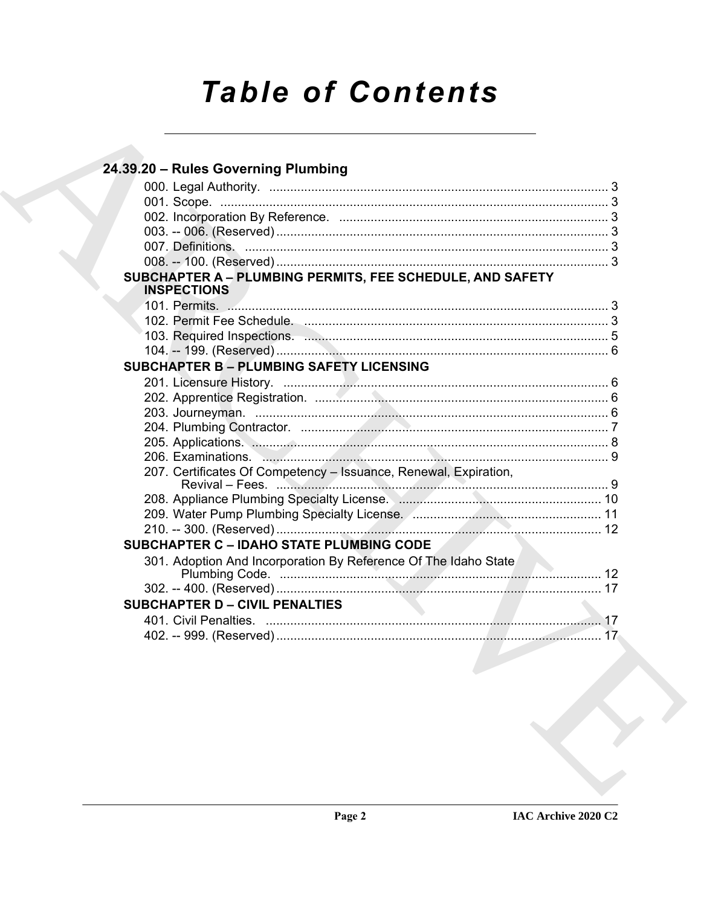# **Table of Contents**

| 24.39.20 - Rules Governing Plumbing                                             |  |
|---------------------------------------------------------------------------------|--|
|                                                                                 |  |
|                                                                                 |  |
|                                                                                 |  |
|                                                                                 |  |
|                                                                                 |  |
|                                                                                 |  |
| SUBCHAPTER A - PLUMBING PERMITS, FEE SCHEDULE, AND SAFETY<br><b>INSPECTIONS</b> |  |
|                                                                                 |  |
|                                                                                 |  |
|                                                                                 |  |
|                                                                                 |  |
| <b>SUBCHAPTER B - PLUMBING SAFETY LICENSING</b>                                 |  |
|                                                                                 |  |
|                                                                                 |  |
|                                                                                 |  |
|                                                                                 |  |
|                                                                                 |  |
|                                                                                 |  |
| 207. Certificates Of Competency - Issuance, Renewal, Expiration,                |  |
|                                                                                 |  |
|                                                                                 |  |
|                                                                                 |  |
| <b>SUBCHAPTER C - IDAHO STATE PLUMBING CODE</b>                                 |  |
| 301. Adoption And Incorporation By Reference Of The Idaho State                 |  |
|                                                                                 |  |
|                                                                                 |  |
| <b>SUBCHAPTER D - CIVIL PENALTIES</b>                                           |  |
|                                                                                 |  |
|                                                                                 |  |
|                                                                                 |  |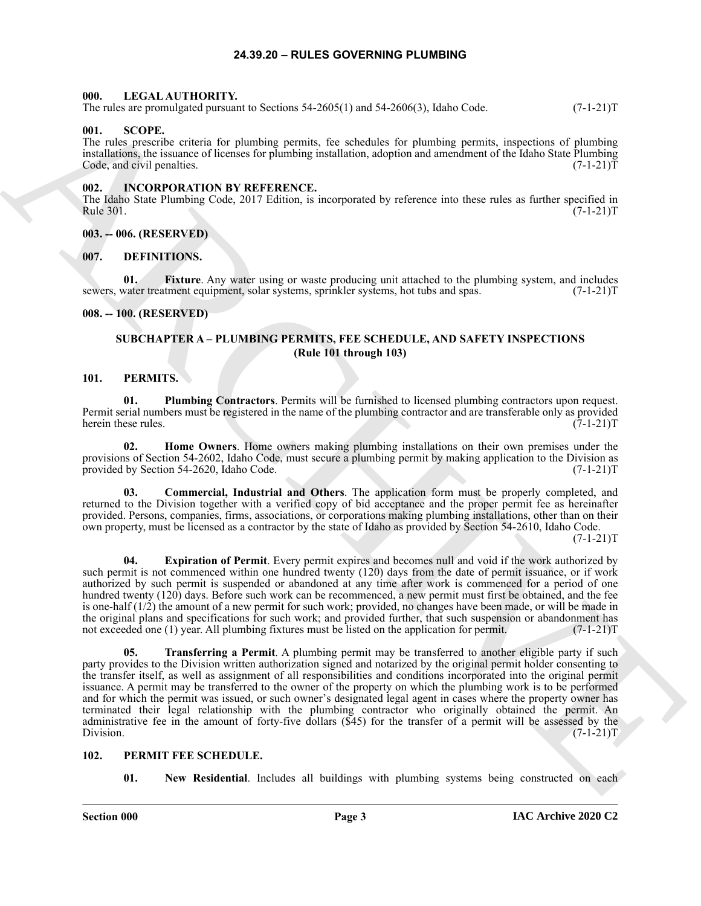#### **24.39.20 – RULES GOVERNING PLUMBING**

#### <span id="page-2-13"></span><span id="page-2-1"></span><span id="page-2-0"></span>**000. LEGAL AUTHORITY.**

The rules are promulgated pursuant to Sections 54-2605(1) and 54-2606(3), Idaho Code. (7-1-21)T

#### <span id="page-2-22"></span><span id="page-2-2"></span>**001. SCOPE.**

The rules prescribe criteria for plumbing permits, fee schedules for plumbing permits, inspections of plumbing installations, the issuance of licenses for plumbing installation, adoption and amendment of the Idaho State Plumbing Code, and civil penalties. (7-1-21) T

#### <span id="page-2-12"></span><span id="page-2-3"></span>**002. INCORPORATION BY REFERENCE.**

The Idaho State Plumbing Code, 2017 Edition, is incorporated by reference into these rules as further specified in Rule 301. (7-1-21)T

#### <span id="page-2-4"></span>**003. -- 006. (RESERVED)**

#### <span id="page-2-10"></span><span id="page-2-5"></span>**007. DEFINITIONS.**

<span id="page-2-11"></span>**01.** Fixture. Any water using or waste producing unit attached to the plumbing system, and includes water treatment equipment, solar systems, sprinkler systems, hot tubs and spas. (7-1-21) sewers, water treatment equipment, solar systems, sprinkler systems, hot tubs and spas.

#### <span id="page-2-7"></span><span id="page-2-6"></span>**008. -- 100. (RESERVED)**

### <span id="page-2-20"></span><span id="page-2-16"></span>**SUBCHAPTER A – PLUMBING PERMITS, FEE SCHEDULE, AND SAFETY INSPECTIONS (Rule 101 through 103)**

#### <span id="page-2-8"></span>**101. PERMITS.**

**01. Plumbing Contractors**. Permits will be furnished to licensed plumbing contractors upon request. Permit serial numbers must be registered in the name of the plumbing contractor and are transferable only as provided herein these rules. (7-1-21)T

<span id="page-2-19"></span>**02. Home Owners**. Home owners making plumbing installations on their own premises under the provisions of Section 54-2602, Idaho Code, must secure a plumbing permit by making application to the Division as provided by Section 54-2620, Idaho Code. (7-1-21)T

<span id="page-2-17"></span>**03. Commercial, Industrial and Others**. The application form must be properly completed, and returned to the Division together with a verified copy of bid acceptance and the proper permit fee as hereinafter provided. Persons, companies, firms, associations, or corporations making plumbing installations, other than on their own property, must be licensed as a contractor by the state of Idaho as provided by Section 54-2610, Idaho Code.

 $(7-1-21)T$ 

<span id="page-2-21"></span><span id="page-2-18"></span>**04. Expiration of Permit**. Every permit expires and becomes null and void if the work authorized by such permit is not commenced within one hundred twenty (120) days from the date of permit issuance, or if work authorized by such permit is suspended or abandoned at any time after work is commenced for a period of one hundred twenty (120) days. Before such work can be recommenced, a new permit must first be obtained, and the fee is one-half (1/2) the amount of a new permit for such work; provided, no changes have been made, or will be made in the original plans and specifications for such work; and provided further, that such suspension or abandonment has not exceeded one (1) year. All plumbing fixtures must be listed on the application for permit. (7-1-21) not exceeded one (1) year. All plumbing fixtures must be listed on the application for permit.

The Archive promulties of the Society S1-2003(1) and 54-2008(3), halos Core.<br>
10.1. SCOPE,<br>
10.1. SCOPE and the Society of priorities of the S1-2008 (1, b) decreases the simulation of the S1-2012<br>
11. Decrease of the S1-2 **05. Transferring a Permit**. A plumbing permit may be transferred to another eligible party if such party provides to the Division written authorization signed and notarized by the original permit holder consenting to the transfer itself, as well as assignment of all responsibilities and conditions incorporated into the original permit issuance. A permit may be transferred to the owner of the property on which the plumbing work is to be performed and for which the permit was issued, or such owner's designated legal agent in cases where the property owner has terminated their legal relationship with the plumbing contractor who originally obtained the permit. An administrative fee in the amount of forty-five dollars (\$45) for the transfer of a permit will be assessed by the Division.  $(7-1-21)T$ Division. (7-1-21)T

#### <span id="page-2-9"></span>**102. PERMIT FEE SCHEDULE.**

<span id="page-2-15"></span><span id="page-2-14"></span>**01.** New Residential. Includes all buildings with plumbing systems being constructed on each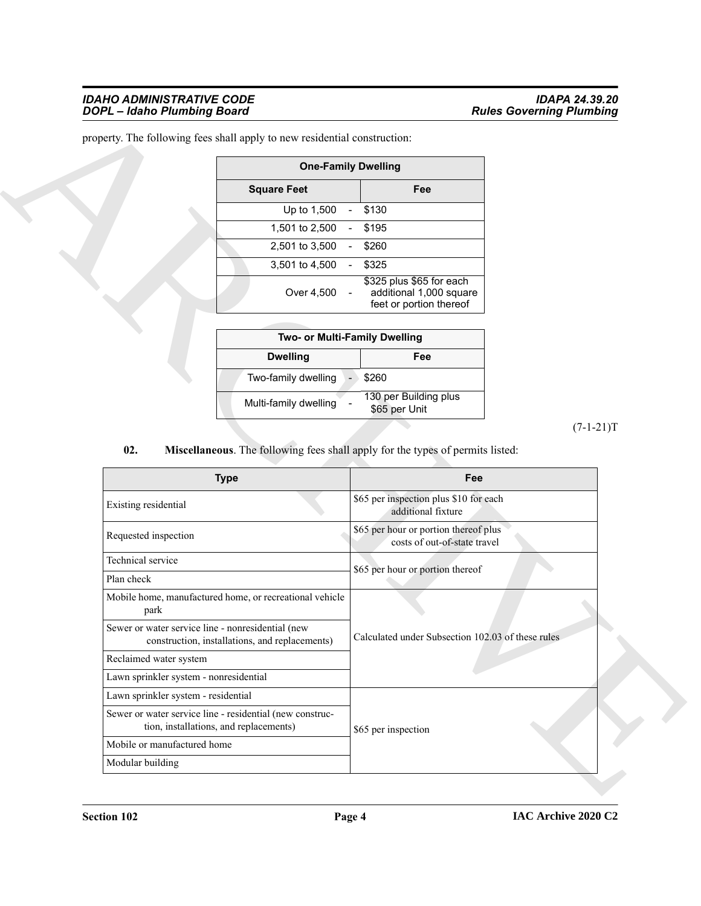#### *IDAHO ADMINISTRATIVE CODE IDAPA 24.39.20 DOPL – Idaho Plumbing Board Rules Governing Plumbing*

| <b>One-Family Dwelling</b> |  |                                                                                |  |  |  |
|----------------------------|--|--------------------------------------------------------------------------------|--|--|--|
| <b>Square Feet</b>         |  | Fee                                                                            |  |  |  |
| Up to $1,500 -$            |  | \$130                                                                          |  |  |  |
| 1,501 to 2,500             |  | \$195                                                                          |  |  |  |
| 2,501 to 3,500             |  | \$260                                                                          |  |  |  |
| 3,501 to 4,500             |  | \$325                                                                          |  |  |  |
| Over 4,500                 |  | \$325 plus \$65 for each<br>additional 1,000 square<br>feet or portion thereof |  |  |  |

<span id="page-3-0"></span>

| Two- or Multi-Family Dwelling |  |                                        |  |  |  |
|-------------------------------|--|----------------------------------------|--|--|--|
| <b>Dwelling</b><br>Fee        |  |                                        |  |  |  |
| Two-family dwelling           |  | \$260                                  |  |  |  |
| Multi-family dwelling         |  | 130 per Building plus<br>\$65 per Unit |  |  |  |

|                                                   |                                                                                                    | <b>One-Family Dwelling</b>                                                     |             |
|---------------------------------------------------|----------------------------------------------------------------------------------------------------|--------------------------------------------------------------------------------|-------------|
|                                                   | <b>Square Feet</b>                                                                                 | Fee                                                                            |             |
|                                                   | Up to 1,500                                                                                        | \$130<br>$\overline{\phantom{a}}$                                              |             |
|                                                   | 1,501 to 2,500                                                                                     | \$195                                                                          |             |
|                                                   | 2,501 to 3,500                                                                                     | \$260<br>$\overline{\phantom{a}}$                                              |             |
|                                                   | 3,501 to 4,500                                                                                     | \$325                                                                          |             |
|                                                   | Over 4,500                                                                                         | \$325 plus \$65 for each<br>additional 1,000 square<br>feet or portion thereof |             |
|                                                   |                                                                                                    |                                                                                |             |
|                                                   |                                                                                                    | Two- or Multi-Family Dwelling                                                  |             |
|                                                   | <b>Dwelling</b>                                                                                    | Fee                                                                            |             |
|                                                   | Two-family dwelling                                                                                | \$260<br>$\blacksquare$                                                        |             |
|                                                   | Multi-family dwelling                                                                              | 130 per Building plus<br>\$65 per Unit                                         |             |
|                                                   |                                                                                                    |                                                                                | $(7-1-21)T$ |
|                                                   |                                                                                                    |                                                                                |             |
|                                                   | <b>Type</b>                                                                                        | Fee                                                                            |             |
| Existing residential                              |                                                                                                    | \$65 per inspection plus \$10 for each<br>additional fixture                   |             |
| Requested inspection                              |                                                                                                    | \$65 per hour or portion thereof plus<br>costs of out-of-state travel          |             |
| Technical service                                 |                                                                                                    |                                                                                |             |
| Plan check                                        |                                                                                                    | \$65 per hour or portion thereof                                               |             |
| park                                              | Mobile home, manufactured home, or recreational vehicle                                            |                                                                                |             |
| Sewer or water service line - nonresidential (new | construction, installations, and replacements)                                                     | Calculated under Subsection 102.03 of these rules                              |             |
| Reclaimed water system                            |                                                                                                    |                                                                                |             |
| Lawn sprinkler system - nonresidential            |                                                                                                    |                                                                                |             |
| Lawn sprinkler system - residential               |                                                                                                    |                                                                                |             |
|                                                   | Sewer or water service line - residential (new construc-<br>tion, installations, and replacements) | \$65 per inspection                                                            |             |
| Mobile or manufactured home                       |                                                                                                    |                                                                                |             |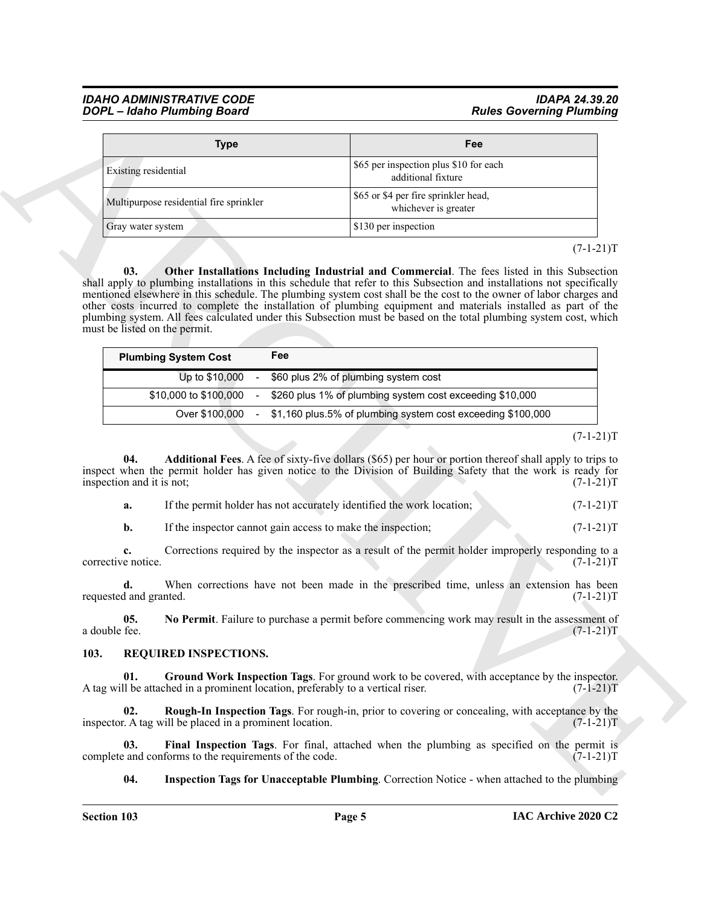|                                                                                                           | <b>Type</b>                                                                                                                          | Fee                                                                                                                                                                                                                                                                                                                                                                                                                                                                                                                                                                                 |                                                                                                       |
|-----------------------------------------------------------------------------------------------------------|--------------------------------------------------------------------------------------------------------------------------------------|-------------------------------------------------------------------------------------------------------------------------------------------------------------------------------------------------------------------------------------------------------------------------------------------------------------------------------------------------------------------------------------------------------------------------------------------------------------------------------------------------------------------------------------------------------------------------------------|-------------------------------------------------------------------------------------------------------|
| Existing residential                                                                                      |                                                                                                                                      | \$65 per inspection plus \$10 for each<br>additional fixture                                                                                                                                                                                                                                                                                                                                                                                                                                                                                                                        |                                                                                                       |
|                                                                                                           | Multipurpose residential fire sprinkler                                                                                              | \$65 or \$4 per fire sprinkler head,<br>whichever is greater                                                                                                                                                                                                                                                                                                                                                                                                                                                                                                                        |                                                                                                       |
| Gray water system                                                                                         |                                                                                                                                      | \$130 per inspection                                                                                                                                                                                                                                                                                                                                                                                                                                                                                                                                                                |                                                                                                       |
| 03.<br>must be listed on the permit.                                                                      |                                                                                                                                      | Other Installations Including Industrial and Commercial. The fees listed in this Subsection<br>shall apply to plumbing installations in this schedule that refer to this Subsection and installations not specifically<br>mentioned elsewhere in this schedule. The plumbing system cost shall be the cost to the owner of labor charges and<br>other costs incurred to complete the installation of plumbing equipment and materials installed as part of the<br>plumbing system. All fees calculated under this Subsection must be based on the total plumbing system cost, which | $(7-1-21)T$                                                                                           |
|                                                                                                           | Fee<br><b>Plumbing System Cost</b>                                                                                                   |                                                                                                                                                                                                                                                                                                                                                                                                                                                                                                                                                                                     |                                                                                                       |
|                                                                                                           | Up to \$10,000                                                                                                                       | \$60 plus 2% of plumbing system cost                                                                                                                                                                                                                                                                                                                                                                                                                                                                                                                                                |                                                                                                       |
|                                                                                                           | \$10,000 to \$100,000                                                                                                                | \$260 plus 1% of plumbing system cost exceeding \$10,000                                                                                                                                                                                                                                                                                                                                                                                                                                                                                                                            |                                                                                                       |
|                                                                                                           | Over \$100,000                                                                                                                       | \$1,160 plus.5% of plumbing system cost exceeding \$100,000                                                                                                                                                                                                                                                                                                                                                                                                                                                                                                                         |                                                                                                       |
| 04.                                                                                                       |                                                                                                                                      | Additional Fees. A fee of sixty-five dollars (\$65) per hour or portion thereof shall apply to trips to<br>inspect when the permit holder has given notice to the Division of Building Safety that the work is ready for                                                                                                                                                                                                                                                                                                                                                            |                                                                                                       |
| a.<br>$\mathbf{b}$ .<br>c.<br>d.                                                                          | If the permit holder has not accurately identified the work location;<br>If the inspector cannot gain access to make the inspection; | Corrections required by the inspector as a result of the permit holder improperly responding to a<br>When corrections have not been made in the prescribed time, unless an extension has been                                                                                                                                                                                                                                                                                                                                                                                       |                                                                                                       |
| 05.                                                                                                       |                                                                                                                                      | No Permit. Failure to purchase a permit before commencing work may result in the assessment of                                                                                                                                                                                                                                                                                                                                                                                                                                                                                      | $(7-1-21)T$<br>$(7-1-21)T$<br>$(7-1-21)T$<br>$(7-1-21)T$<br>$(7-1-21)T$<br>$(7-1-21)T$<br>$(7-1-21)T$ |
|                                                                                                           | <b>REQUIRED INSPECTIONS.</b>                                                                                                         |                                                                                                                                                                                                                                                                                                                                                                                                                                                                                                                                                                                     |                                                                                                       |
| 01.                                                                                                       | A tag will be attached in a prominent location, preferably to a vertical riser.                                                      | Ground Work Inspection Tags. For ground work to be covered, with acceptance by the inspector.                                                                                                                                                                                                                                                                                                                                                                                                                                                                                       |                                                                                                       |
| inspection and it is not;<br>corrective notice.<br>requested and granted.<br>a double fee.<br>103.<br>02. | inspector. A tag will be placed in a prominent location.                                                                             | <b>Rough-In Inspection Tags.</b> For rough-in, prior to covering or concealing, with acceptance by the                                                                                                                                                                                                                                                                                                                                                                                                                                                                              |                                                                                                       |
| 03.                                                                                                       | complete and conforms to the requirements of the code.                                                                               | Final Inspection Tags. For final, attached when the plumbing as specified on the permit is                                                                                                                                                                                                                                                                                                                                                                                                                                                                                          | $(7-1-21)T$<br>$(7-1-21)T$<br>$(7-1-21)T$                                                             |

 $(7-1-21)T$ 

<span id="page-4-3"></span>

| <b>Plumbing System Cost</b> | Fee                                                           |
|-----------------------------|---------------------------------------------------------------|
| Up to \$10,000              | - \$60 plus 2% of plumbing system cost                        |
| \$10,000 to \$100,000       | - \$260 plus 1% of plumbing system cost exceeding \$10,000    |
| Over \$100.000              | - \$1,160 plus.5% of plumbing system cost exceeding \$100,000 |

 $(7-1-21)T$ 

<span id="page-4-1"></span>

| а. |  | If the permit holder has not accurately identified the work location: | $(7-1-21)T$ |
|----|--|-----------------------------------------------------------------------|-------------|
|----|--|-----------------------------------------------------------------------|-------------|

### <span id="page-4-8"></span><span id="page-4-7"></span><span id="page-4-6"></span><span id="page-4-5"></span><span id="page-4-4"></span><span id="page-4-2"></span><span id="page-4-0"></span>**103. REQUIRED INSPECTIONS.**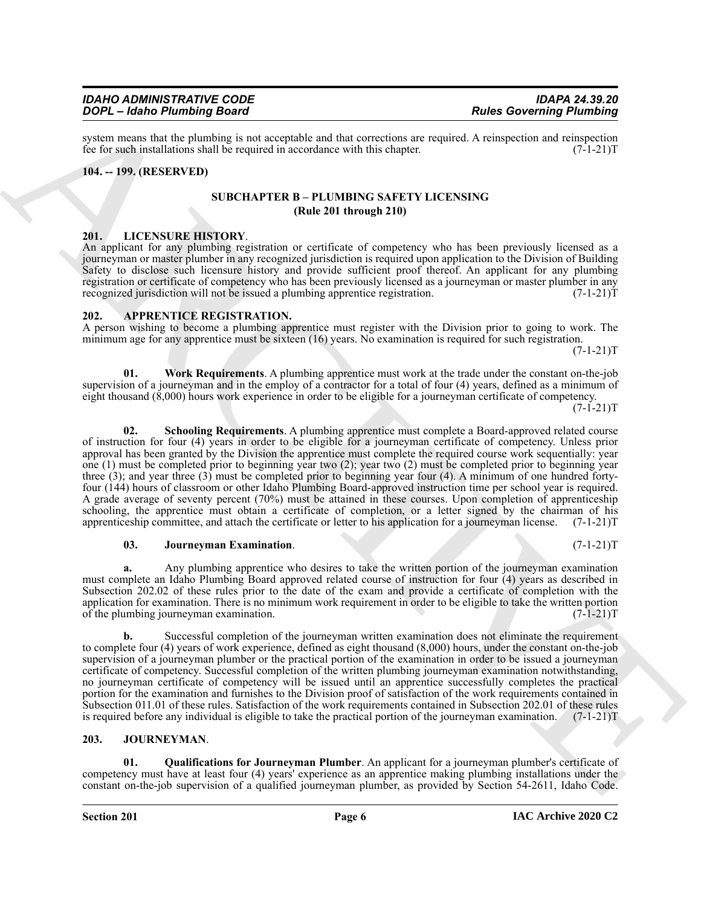system means that the plumbing is not acceptable and that corrections are required. A reinspection and reinspection<br>fee for such installations shall be required in accordance with this chapter. (7-1-21) fee for such installations shall be required in accordance with this chapter.

#### <span id="page-5-1"></span><span id="page-5-0"></span>**104. -- 199. (RESERVED)**

#### **SUBCHAPTER B – PLUMBING SAFETY LICENSING (Rule 201 through 210)**

<span id="page-5-11"></span><span id="page-5-2"></span>**201. LICENSURE HISTORY**. An applicant for any plumbing registration or certificate of competency who has been previously licensed as a journeyman or master plumber in any recognized jurisdiction is required upon application to the Division of Building Safety to disclose such licensure history and provide sufficient proof thereof. An applicant for any plumbing registration or certificate of competency who has been previously licensed as a journeyman or master plumber in any recognized jurisdiction will not be issued a plumbing apprentice registration. (7-1-21)T

#### <span id="page-5-5"></span><span id="page-5-3"></span>**202. APPRENTICE REGISTRATION.**

A person wishing to become a plumbing apprentice must register with the Division prior to going to work. The minimum age for any apprentice must be sixteen (16) years. No examination is required for such registration.

 $(7-1-21)T$ 

<span id="page-5-8"></span><span id="page-5-7"></span>**01. Work Requirements**. A plumbing apprentice must work at the trade under the constant on-the-job supervision of a journeyman and in the employ of a contractor for a total of four (4) years, defined as a minimum of eight thousand (8,000) hours work experience in order to be eligible for a journeyman certificate of competency.

 $(7-1-21)T$ 

Force Constraints and the set of the state of the state of the state of the state of the state of the state of the state of the state of the state of the state of the state of the state of the state of the state of the st **02. Schooling Requirements**. A plumbing apprentice must complete a Board-approved related course of instruction for four (4) years in order to be eligible for a journeyman certificate of competency. Unless prior approval has been granted by the Division the apprentice must complete the required course work sequentially: year one (1) must be completed prior to beginning year two (2); year two (2) must be completed prior to beginning year three (3); and year three (3) must be completed prior to beginning year four (4). A minimum of one hundred fortyfour (144) hours of classroom or other Idaho Plumbing Board-approved instruction time per school year is required. A grade average of seventy percent (70%) must be attained in these courses. Upon completion of apprenticeship schooling, the apprentice must obtain a certificate of completion, or a letter signed by the chairman of his apprenticeship committee, and attach the certificate or letter to his application for a journeyman license. (7-1-21)T

#### <span id="page-5-6"></span>**03.** Journeyman Examination. (7-1-21)T

**a.** Any plumbing apprentice who desires to take the written portion of the journeyman examination must complete an Idaho Plumbing Board approved related course of instruction for four (4) years as described in Subsection 202.02 of these rules prior to the date of the exam and provide a certificate of completion with the

application for examination. There is no minimum work requirement in order to be eligible to take the written portion of the plumbing journeyman examination. (7-1-21)T

**b.** Successful completion of the journeyman written examination does not eliminate the requirement to complete four (4) years of work experience, defined as eight thousand (8,000) hours, under the constant on-the-job supervision of a journeyman plumber or the practical portion of the examination in order to be issued a journeyman certificate of competency. Successful completion of the written plumbing journeyman examination notwithstanding, no journeyman certificate of competency will be issued until an apprentice successfully completes the practical portion for the examination and furnishes to the Division proof of satisfaction of the work requirements contained in Subsection 011.01 of these rules. Satisfaction of the work requirements contained in Subsection 202.01 of these rules is required before any individual is eligible to take the practical portion of the journeyman examination. (7-1-21)T

### <span id="page-5-9"></span><span id="page-5-4"></span>**203. JOURNEYMAN**.

<span id="page-5-10"></span>**01. Qualifications for Journeyman Plumber**. An applicant for a journeyman plumber's certificate of competency must have at least four (4) years' experience as an apprentice making plumbing installations under the constant on-the-job supervision of a qualified journeyman plumber, as provided by Section 54-2611, Idaho Code.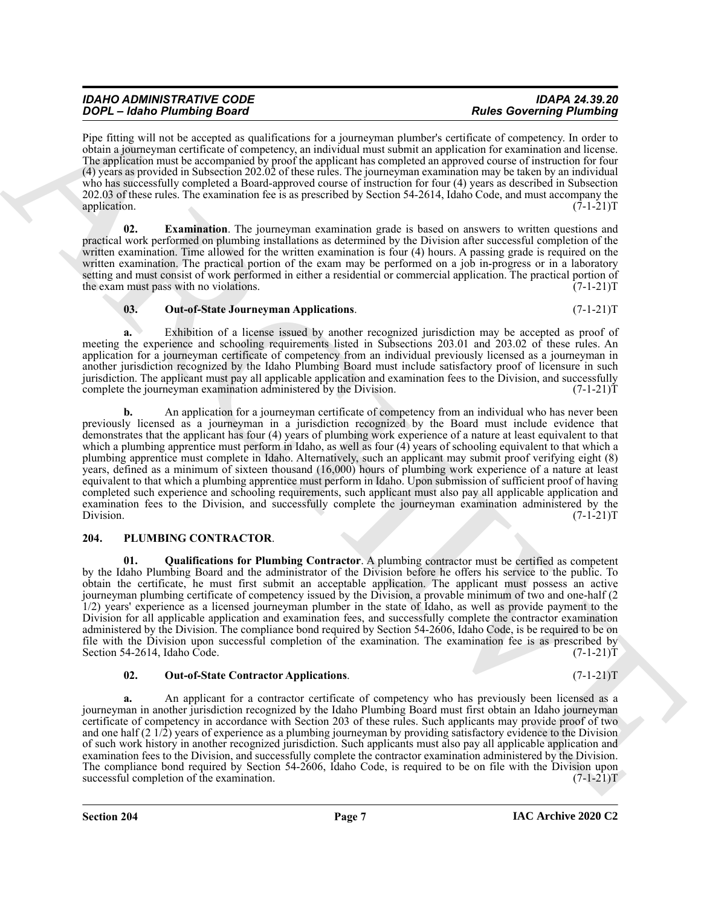**Section 204 Page 7**

Pipe fitting will not be accepted as qualifications for a journeyman plumber's certificate of competency. In order to obtain a journeyman certificate of competency, an individual must submit an application for examination and license. The application must be accompanied by proof the applicant has completed an approved course of instruction for four (4) years as provided in Subsection 202.02 of these rules. The journeyman examination may be taken by an individual who has successfully completed a Board-approved course of instruction for four (4) years as described in Subsection 202.03 of these rules. The examination fee is as prescribed by Section 54-2614, Idaho Code, and must accompany the application. (7-1-21)T

<span id="page-6-1"></span>**02. Examination**. The journeyman examination grade is based on answers to written questions and practical work performed on plumbing installations as determined by the Division after successful completion of the written examination. Time allowed for the written examination is four (4) hours. A passing grade is required on the written examination. The practical portion of the exam may be performed on a job in-progress or in a laboratory setting and must consist of work performed in either a residential or commercial application. The practical portion of the exam must pass with no violations. (7-1-21)T

#### <span id="page-6-2"></span>**03. Out-of-State Journeyman Applications**. (7-1-21)T

**a.** Exhibition of a license issued by another recognized jurisdiction may be accepted as proof of meeting the experience and schooling requirements listed in Subsections 203.01 and 203.02 of these rules. An application for a journeyman certificate of competency from an individual previously licensed as a journeyman in another jurisdiction recognized by the Idaho Plumbing Board must include satisfactory proof of licensure in such jurisdiction. The applicant must pay all applicable application and examination fees to the Division, and successfully complete the journeyman examination administered by the Division. (7-1-21) complete the journeyman examination administered by the Division.

**To**  $\vec{r} = \vec{r}$  **and**  $\vec{r} = \vec{r}$  **and**  $\vec{r} = \vec{r}$  **and**  $\vec{r} = \vec{r}$  **and**  $\vec{r} = \vec{r}$  **and**  $\vec{r} = \vec{r}$  **and**  $\vec{r} = \vec{r}$  **and**  $\vec{r} = \vec{r}$  **and**  $\vec{r} = \vec{r}$  **and**  $\vec{r} = \vec{r}$  **and**  $\vec{r} = \vec{r}$  **and**  $\vec{r} = \vec{r}$  **and b.** An application for a journeyman certificate of competency from an individual who has never been previously licensed as a journeyman in a jurisdiction recognized by the Board must include evidence that demonstrates that the applicant has four (4) years of plumbing work experience of a nature at least equivalent to that which a plumbing apprentice must perform in Idaho, as well as four (4) years of schooling equivalent to that which a plumbing apprentice must complete in Idaho. Alternatively, such an applicant may submit proof verifying eight (8) years, defined as a minimum of sixteen thousand (16,000) hours of plumbing work experience of a nature at least equivalent to that which a plumbing apprentice must perform in Idaho. Upon submission of sufficient proof of having completed such experience and schooling requirements, such applicant must also pay all applicable application and examination fees to the Division, and successfully complete the journeyman examination administered by the Division. (7-1-21)T Division. (7-1-21)T

# <span id="page-6-5"></span><span id="page-6-3"></span><span id="page-6-0"></span>**204. PLUMBING CONTRACTOR**.

*DOPL – Idaho Plumbing Board* 

**01. Qualifications for Plumbing Contractor**. A plumbing contractor must be certified as competent by the Idaho Plumbing Board and the administrator of the Division before he offers his service to the public. To obtain the certificate, he must first submit an acceptable application. The applicant must possess an active journeyman plumbing certificate of competency issued by the Division, a provable minimum of two and one-half (2 1/2) years' experience as a licensed journeyman plumber in the state of Idaho, as well as provide payment to the Division for all applicable application and examination fees, and successfully complete the contractor examination administered by the Division. The compliance bond required by Section 54-2606, Idaho Code, is be required to be on file with the Division upon successful completion of the examination. The examination fee is as prescribed by Section 54-2614, Idaho Code. (7-1-21) Section 54-2614, Idaho Code.

# <span id="page-6-4"></span>**02. Out-of-State Contractor Applications**. (7-1-21)T

**a.** An applicant for a contractor certificate of competency who has previously been licensed as a journeyman in another jurisdiction recognized by the Idaho Plumbing Board must first obtain an Idaho journeyman certificate of competency in accordance with Section 203 of these rules. Such applicants may provide proof of two and one half (2 1/2) years of experience as a plumbing journeyman by providing satisfactory evidence to the Division of such work history in another recognized jurisdiction. Such applicants must also pay all applicable application and examination fees to the Division, and successfully complete the contractor examination administered by the Division. The compliance bond required by Section 54-2606, Idaho Code, is required to be on file with the Division upon successful completion of the examination. (7-1-21) successful completion of the examination.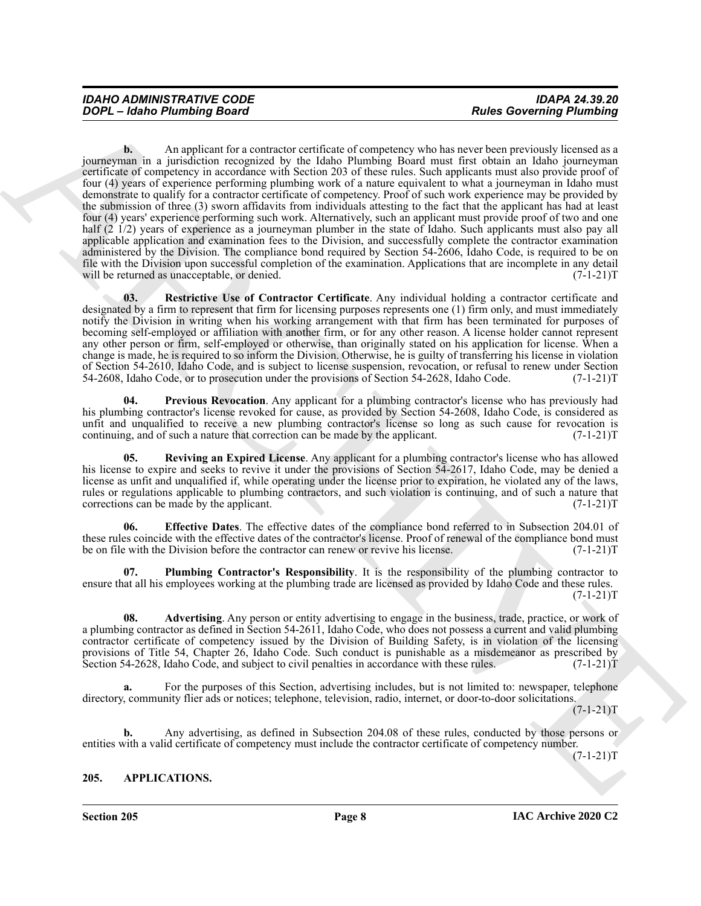GOPE - dealer Phonology Board<br>
2008 - An englished Formulation of comparison the state and the state and the state and the state and the state and the state and the state and the state and the state and the state and the **b.** An applicant for a contractor certificate of competency who has never been previously licensed as a journeyman in a jurisdiction recognized by the Idaho Plumbing Board must first obtain an Idaho journeyman certificate of competency in accordance with Section 203 of these rules. Such applicants must also provide proof of four (4) years of experience performing plumbing work of a nature equivalent to what a journeyman in Idaho must demonstrate to qualify for a contractor certificate of competency. Proof of such work experience may be provided by the submission of three (3) sworn affidavits from individuals attesting to the fact that the applicant has had at least four (4) years' experience performing such work. Alternatively, such an applicant must provide proof of two and one half (2 1/2) years of experience as a journeyman plumber in the state of Idaho. Such applicants must also pay all applicable application and examination fees to the Division, and successfully complete the contractor examination administered by the Division. The compliance bond required by Section 54-2606, Idaho Code, is required to be on file with the Division upon successful completion of the examination. Applications that are incomplete in any detail will be returned as unacceptable, or denied.  $(7-1-21)T$ will be returned as unacceptable, or denied.

<span id="page-7-6"></span>**03. Restrictive Use of Contractor Certificate**. Any individual holding a contractor certificate and designated by a firm to represent that firm for licensing purposes represents one (1) firm only, and must immediately notify the Division in writing when his working arrangement with that firm has been terminated for purposes of becoming self-employed or affiliation with another firm, or for any other reason. A license holder cannot represent any other person or firm, self-employed or otherwise, than originally stated on his application for license. When a change is made, he is required to so inform the Division. Otherwise, he is guilty of transferring his license in violation of Section 54-2610, Idaho Code, and is subject to license suspension, revocation, or refusal to renew under Section 54-2608, Idaho Code, or to prosecution under the provisions of Section 54-2628, Idaho Code. (7-1-21)T 54-2608, Idaho Code, or to prosecution under the provisions of Section 54-2628, Idaho Code.

<span id="page-7-5"></span>**04. Previous Revocation**. Any applicant for a plumbing contractor's license who has previously had his plumbing contractor's license revoked for cause, as provided by Section 54-2608, Idaho Code, is considered as unfit and unqualified to receive a new plumbing contractor's license so long as such cause for revocation is continuing, and of such a nature that correction can be made by the applicant.  $(7-1-21)$ continuing, and of such a nature that correction can be made by the applicant.

<span id="page-7-7"></span>**05. Reviving an Expired License**. Any applicant for a plumbing contractor's license who has allowed his license to expire and seeks to revive it under the provisions of Section 54-2617, Idaho Code, may be denied a license as unfit and unqualified if, while operating under the license prior to expiration, he violated any of the laws, rules or regulations applicable to plumbing contractors, and such violation is continuing, and of such a nature that corrections can be made by the applicant. (7-1-21) corrections can be made by the applicant.

<span id="page-7-3"></span>**06. Effective Dates**. The effective dates of the compliance bond referred to in Subsection 204.01 of these rules coincide with the effective dates of the contractor's license. Proof of renewal of the compliance bond must be on file with the Division before the contractor can renew or revive his license. (7-1-21)T

<span id="page-7-4"></span>**07. Plumbing Contractor's Responsibility**. It is the responsibility of the plumbing contractor to ensure that all his employees working at the plumbing trade are licensed as provided by Idaho Code and these rules.  $(7-1-21)T$ 

<span id="page-7-2"></span>**08. Advertising**. Any person or entity advertising to engage in the business, trade, practice, or work of a plumbing contractor as defined in Section 54-2611, Idaho Code, who does not possess a current and valid plumbing contractor certificate of competency issued by the Division of Building Safety, is in violation of the licensing provisions of Title 54, Chapter 26, Idaho Code. Such conduct is punishable as a misdemeanor as prescribed by Section 54-2628, Idaho Code, and subject to civil penalties in accordance with these rules. (7-1-21) T

**a.** For the purposes of this Section, advertising includes, but is not limited to: newspaper, telephone directory, community flier ads or notices; telephone, television, radio, internet, or door-to-door solicitations.

 $(7-1-21)T$ 

**b.** Any advertising, as defined in Subsection 204.08 of these rules, conducted by those persons or entities with a valid certificate of competency must include the contractor certificate of competency number.

 $(7-1-21)T$ 

# <span id="page-7-1"></span><span id="page-7-0"></span>**205. APPLICATIONS.**

**Section 205 Page 8**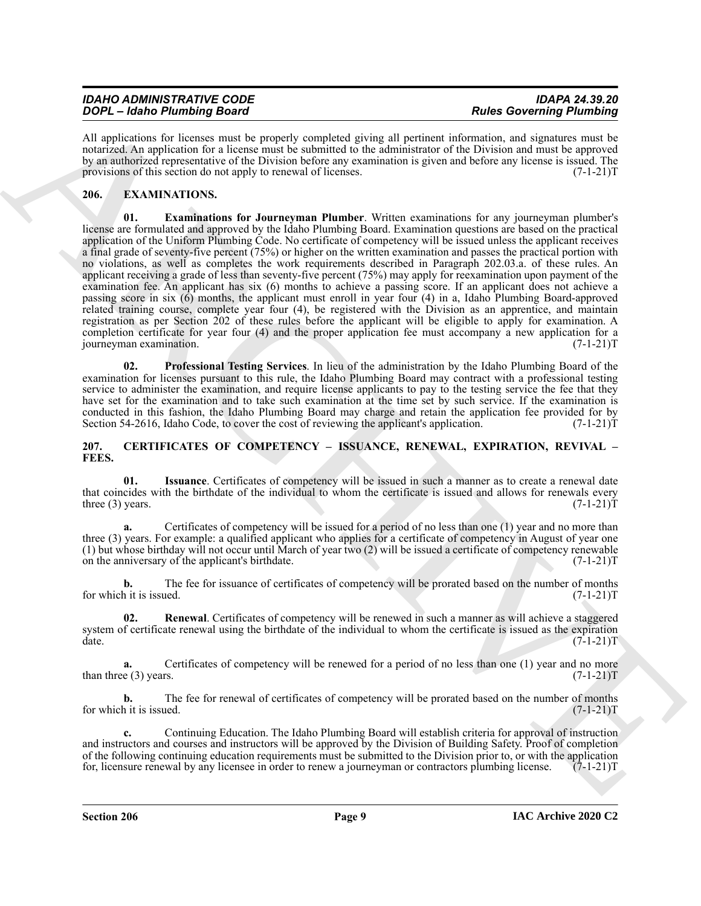| <b>IDAHO ADMINISTRATIVE CODE</b> | <b>IDAPA 24.39.20</b>           |
|----------------------------------|---------------------------------|
| DOPL - Idaho Plumbing Board      | <b>Rules Governing Plumbing</b> |

All applications for licenses must be properly completed giving all pertinent information, and signatures must be notarized. An application for a license must be submitted to the administrator of the Division and must be approved by an authorized representative of the Division before any examination is given and before any license is issued. The provisions of this section do not apply to renewal of licenses. (7-1-21)  $T = (7-1-21)T$ 

## <span id="page-8-6"></span><span id="page-8-5"></span><span id="page-8-0"></span>**206. EXAMINATIONS.**

**SOCI-1460 Photospheric State Controller and the Controller State Controller State Controller State Controller State Controller State Controller State Controller State Controller State Controller State Controller State Co 01. Examinations for Journeyman Plumber**. Written examinations for any journeyman plumber's license are formulated and approved by the Idaho Plumbing Board. Examination questions are based on the practical application of the Uniform Plumbing Code. No certificate of competency will be issued unless the applicant receives a final grade of seventy-five percent (75%) or higher on the written examination and passes the practical portion with no violations, as well as completes the work requirements described in Paragraph 202.03.a. of these rules. An applicant receiving a grade of less than seventy-five percent (75%) may apply for reexamination upon payment of the examination fee. An applicant has six (6) months to achieve a passing score. If an applicant does not achieve a passing score in six (6) months, the applicant must enroll in year four (4) in a, Idaho Plumbing Board-approved related training course, complete year four (4), be registered with the Division as an apprentice, and maintain registration as per Section 202 of these rules before the applicant will be eligible to apply for examination. A completion certificate for year four (4) and the proper application fee must accompany a new application for a journeyman examination. (7-1-21)T

<span id="page-8-7"></span>**02. Professional Testing Services**. In lieu of the administration by the Idaho Plumbing Board of the examination for licenses pursuant to this rule, the Idaho Plumbing Board may contract with a professional testing service to administer the examination, and require license applicants to pay to the testing service the fee that they have set for the examination and to take such examination at the time set by such service. If the examination is conducted in this fashion, the Idaho Plumbing Board may charge and retain the application fee provided for by Section 54-2616, Idaho Code, to cover the cost of reviewing the applicant's application. (7-1-21)T

#### <span id="page-8-2"></span><span id="page-8-1"></span>**207. CERTIFICATES OF COMPETENCY – ISSUANCE, RENEWAL, EXPIRATION, REVIVAL – FEES.**

<span id="page-8-3"></span>**01. Issuance**. Certificates of competency will be issued in such a manner as to create a renewal date that coincides with the birthdate of the individual to whom the certificate is issued and allows for renewals every three (3) years.  $(7-1-21)T$ three  $(3)$  years.

**a.** Certificates of competency will be issued for a period of no less than one (1) year and no more than three (3) years. For example: a qualified applicant who applies for a certificate of competency in August of year one (1) but whose birthday will not occur until March of year two (2) will be issued a certificate of competency renewable on the anniversary of the applicant's birthdate. (7-1-21)T

**b.** The fee for issuance of certificates of competency will be prorated based on the number of months it is issued. (7-1-21) for which it is issued.

<span id="page-8-4"></span>**02. Renewal**. Certificates of competency will be renewed in such a manner as will achieve a staggered system of certificate renewal using the birthdate of the individual to whom the certificate is issued as the expiration date.  $(7-1-21)$ T  $\alpha$  date.  $(7-1-21)T$ 

**a.** Certificates of competency will be renewed for a period of no less than one (1) year and no more than three (3) years.  $(7-1-21)T$ 

**b.** The fee for renewal of certificates of competency will be prorated based on the number of months h it is issued.  $(7-1-21)T$ for which it is issued.

**c.** Continuing Education. The Idaho Plumbing Board will establish criteria for approval of instruction and instructors and courses and instructors will be approved by the Division of Building Safety. Proof of completion of the following continuing education requirements must be submitted to the Division prior to, or with the application for, licensure renewal by any licensee in order to renew a journeyman or contractors plumbing license. (7-1-21)T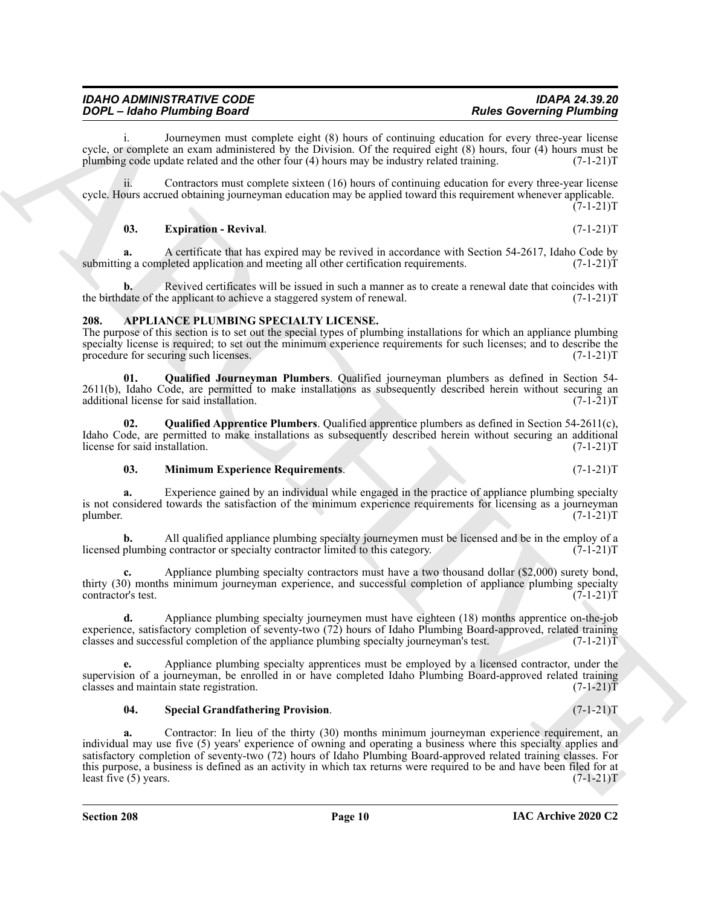i. Journeymen must complete eight (8) hours of continuing education for every three-year license cycle, or complete an exam administered by the Division. Of the required eight (8) hours, four (4) hours must be plumbing code update related and the other four (4) hours may be industry related training. (7-1-21)T

ii. Contractors must complete sixteen (16) hours of continuing education for every three-year license cycle. Hours accrued obtaining journeyman education may be applied toward this requirement whenever applicable.  $(7-1-21)T$ 

#### <span id="page-9-2"></span>**03. Expiration - Revival**. (7-1-21)T

**a.** A certificate that has expired may be revived in accordance with Section 54-2617, Idaho Code by a completed application and meeting all other certification requirements. (7-1-21) submitting a completed application and meeting all other certification requirements.

**b.** Revived certificates will be issued in such a manner as to create a renewal date that coincides with the birthdate of the applicant to achieve a staggered system of renewal. (7-1-21)T

### <span id="page-9-1"></span><span id="page-9-0"></span>**208. APPLIANCE PLUMBING SPECIALTY LICENSE.**

The purpose of this section is to set out the special types of plumbing installations for which an appliance plumbing specialty license is required; to set out the minimum experience requirements for such licenses; and to describe the procedure for securing such licenses. (7-1-21)T

**01. Qualified Journeyman Plumbers**. Qualified journeyman plumbers as defined in Section 54- 2611(b), Idaho Code, are permitted to make installations as subsequently described herein without securing an additional license for said installation. (7-1-21) additional license for said installation.

**02. Qualified Apprentice Plumbers**. Qualified apprentice plumbers as defined in Section 54-2611(c), Idaho Code, are permitted to make installations as subsequently described herein without securing an additional license for said installation. (7-1-21) license for said installation.

#### **03. Minimum Experience Requirements**. (7-1-21)T

**a.** Experience gained by an individual while engaged in the practice of appliance plumbing specialty is not considered towards the satisfaction of the minimum experience requirements for licensing as a journeyman plumber. (7-1-21)T

**b.** All qualified appliance plumbing specialty journeymen must be licensed and be in the employ of a plumbing contractor or specialty contractor limited to this category. (7-1-21) licensed plumbing contractor or specialty contractor limited to this category.

Appliance plumbing specialty contractors must have a two thousand dollar (\$2,000) surety bond, thirty (30) months minimum journeyman experience, and successful completion of appliance plumbing specialty contractor's test. (7-1-21) contractor's test.

**d.** Appliance plumbing specialty journeymen must have eighteen (18) months apprentice on-the-job experience, satisfactory completion of seventy-two  $(72)$  hours of Idaho Plumbing Board-approved, related training classes and successful completion of the appliance plumbing specialty journeyman's test.  $(7-1-21)$ classes and successful completion of the appliance plumbing specialty journeyman's test.

**e.** Appliance plumbing specialty apprentices must be employed by a licensed contractor, under the supervision of a journeyman, be enrolled in or have completed Idaho Plumbing Board-approved related training classes and maintain state registration. (7-1-21) classes and maintain state registration.

#### **04. Special Grandfathering Provision**. (7-1-21)T

**ZOPE – Joseph Constraintent** Revenue of the Company of the Constraint Property. Assets are the company is the company of the company of the company of the company of the company of the company of the company of the compa **a.** Contractor: In lieu of the thirty (30) months minimum journeyman experience requirement, an individual may use five (5) years' experience of owning and operating a business where this specialty applies and satisfactory completion of seventy-two (72) hours of Idaho Plumbing Board-approved related training classes. For this purpose, a business is defined as an activity in which tax returns were required to be and have been filed for at least five  $(5)$  years.  $(7-1-21)$ least five  $(5)$  years.

### **IAC Archive 2020 C2**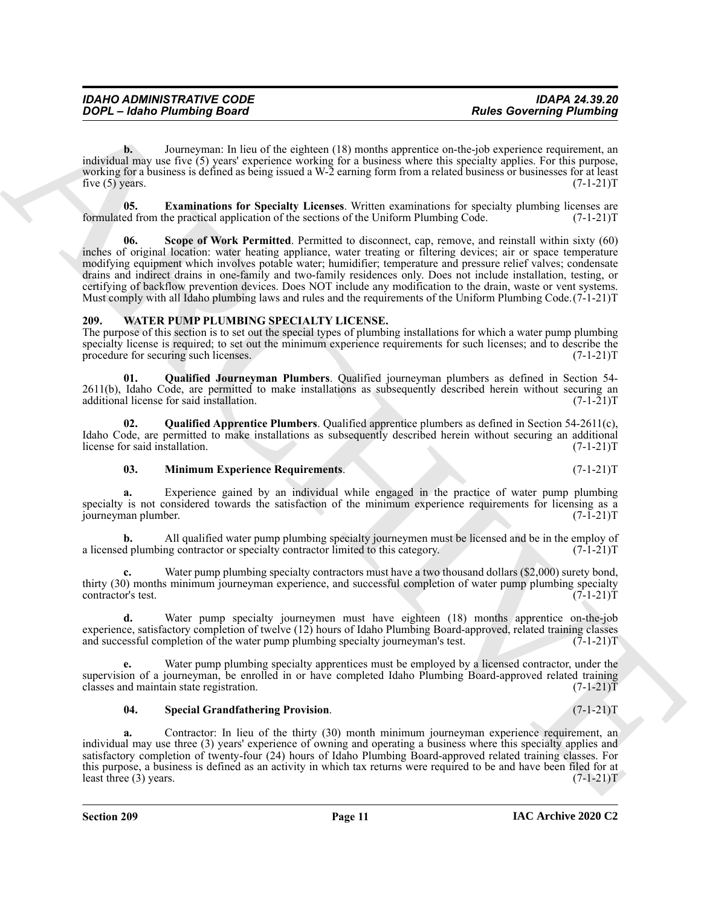**b.** Journeyman: In lieu of the eighteen (18) months apprentice on-the-job experience requirement, an individual may use five (5) years' experience working for a business where this specialty applies. For this purpose, working for a business is defined as being issued a W-2 earning form from a related business or businesses for at least five (5) years.  $(7-1-21)$ T

**05. Examinations for Specialty Licenses**. Written examinations for specialty plumbing licenses are ed from the practical application of the sections of the Uniform Plumbing Code. (7-1-21)T formulated from the practical application of the sections of the Uniform Plumbing Code.

GOPC - Johno Phumbing Board<br>
increase the subsection of the subsection of the subsection of the subsection of the subsection of the subsection of the subsection of the subsection of the subsection of the subsection of the **Scope of Work Permitted**. Permitted to disconnect, cap, remove, and reinstall within sixty (60) inches of original location: water heating appliance, water treating or filtering devices; air or space temperature modifying equipment which involves potable water; humidifier; temperature and pressure relief valves; condensate drains and indirect drains in one-family and two-family residences only. Does not include installation, testing, or certifying of backflow prevention devices. Does NOT include any modification to the drain, waste or vent systems. Must comply with all Idaho plumbing laws and rules and the requirements of the Uniform Plumbing Code.(7-1-21)T

## <span id="page-10-1"></span><span id="page-10-0"></span>**209. WATER PUMP PLUMBING SPECIALTY LICENSE.**

The purpose of this section is to set out the special types of plumbing installations for which a water pump plumbing specialty license is required; to set out the minimum experience requirements for such licenses; and to describe the procedure for securing such licenses. (7-1-21)T

<span id="page-10-4"></span>**01. Qualified Journeyman Plumbers**. Qualified journeyman plumbers as defined in Section 54- 2611(b), Idaho Code, are permitted to make installations as subsequently described herein without securing an additional license for said installation. (7-1-21) additional license for said installation.

**02. Qualified Apprentice Plumbers**. Qualified apprentice plumbers as defined in Section 54-2611(c), Idaho Code, are permitted to make installations as subsequently described herein without securing an additional license for said installation. (7-1-21)T license for said installation.

### <span id="page-10-3"></span><span id="page-10-2"></span>**03. Minimum Experience Requirements**. (7-1-21)T

**a.** Experience gained by an individual while engaged in the practice of water pump plumbing specialty is not considered towards the satisfaction of the minimum experience requirements for licensing as a<br>(7-1-21)T journeyman plumber.

**b.** All qualified water pump plumbing specialty journeymen must be licensed and be in the employ of d plumbing contractor or specialty contractor limited to this category. (7-1-21) a licensed plumbing contractor or specialty contractor limited to this category.

Water pump plumbing specialty contractors must have a two thousand dollars (\$2,000) surety bond, thirty (30) months minimum journeyman experience, and successful completion of water pump plumbing specialty contractor's test. (7-1-21) contractor's test.

**d.** Water pump specialty journeymen must have eighteen (18) months apprentice on-the-job experience, satisfactory completion of twelve (12) hours of Idaho Plumbing Board-approved, related training classes and successful completion of the water pump plumbing specialty journeyman's test. (7-1-21)T and successful completion of the water pump plumbing specialty journeyman's test.

Water pump plumbing specialty apprentices must be employed by a licensed contractor, under the supervision of a journeyman, be enrolled in or have completed Idaho Plumbing Board-approved related training classes and maintain state registration. (7-1-21) classes and maintain state registration.

#### <span id="page-10-5"></span>**04. Special Grandfathering Provision**. (7-1-21)T

**a.** Contractor: In lieu of the thirty (30) month minimum journeyman experience requirement, an individual may use three (3) years' experience of owning and operating a business where this specialty applies and satisfactory completion of twenty-four (24) hours of Idaho Plumbing Board-approved related training classes. For this purpose, a business is defined as an activity in which tax returns were required to be and have been filed for at least three  $(3)$  years.  $(7-1-21)T$ least three  $(3)$  years.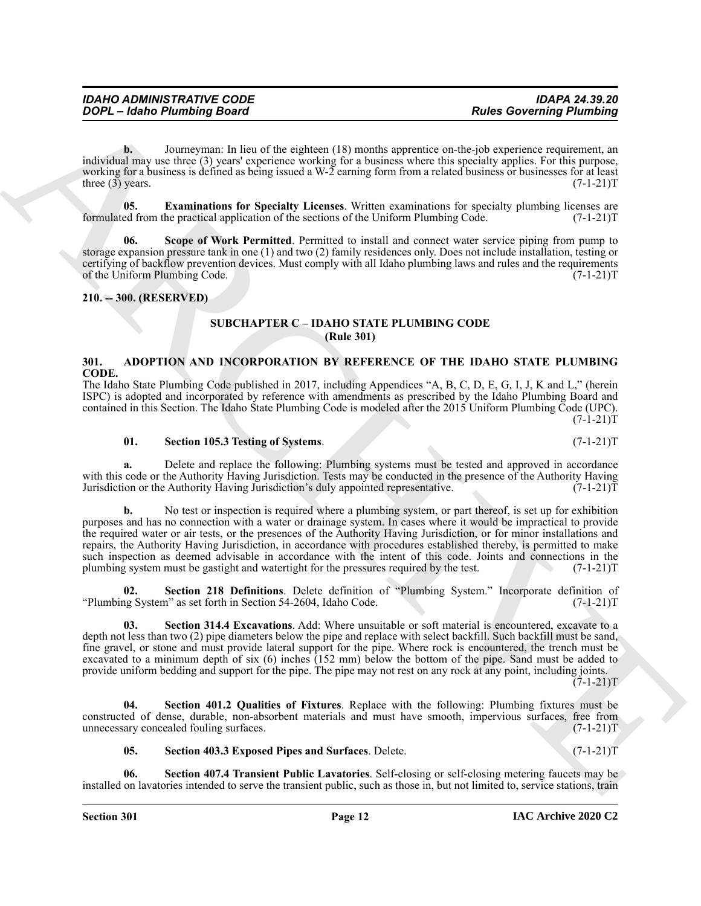**b.** Journeyman: In lieu of the eighteen (18) months apprentice on-the-job experience requirement, an individual may use three (3) years' experience working for a business where this specialty applies. For this purpose, working for a business is defined as being issued a W-2 earning form from a related business or businesses for at least three (3) years.  $(7-1-21)$ T

<span id="page-11-4"></span>**05. Examinations for Specialty Licenses**. Written examinations for specialty plumbing licenses are ed from the practical application of the sections of the Uniform Plumbing Code. (7-1-21)T formulated from the practical application of the sections of the Uniform Plumbing Code.

<span id="page-11-5"></span>**Scope of Work Permitted**. Permitted to install and connect water service piping from pump to storage expansion pressure tank in one (1) and two (2) family residences only. Does not include installation, testing or certifying of backflow prevention devices. Must comply with all Idaho plumbing laws and rules and the requirements of the Uniform Plumbing Code. (7-1-21) of the Uniform Plumbing Code.

#### <span id="page-11-1"></span><span id="page-11-0"></span>**210. -- 300. (RESERVED)**

### **SUBCHAPTER C – IDAHO STATE PLUMBING CODE (Rule 301)**

### <span id="page-11-3"></span><span id="page-11-2"></span>**301. ADOPTION AND INCORPORATION BY REFERENCE OF THE IDAHO STATE PLUMBING CODE.**

The Idaho State Plumbing Code published in 2017, including Appendices "A, B, C, D, E, G, I, J, K and L," (herein ISPC) is adopted and incorporated by reference with amendments as prescribed by the Idaho Plumbing Board and contained in this Section. The Idaho State Plumbing Code is modeled after the 2015 Uniform Plumbing Code (UPC).  $(7-1-21)T$ 

#### **01. Section 105.3 Testing of Systems**. (7-1-21)T

**a.** Delete and replace the following: Plumbing systems must be tested and approved in accordance with this code or the Authority Having Jurisdiction. Tests may be conducted in the presence of the Authority Having Jurisdiction's duly appointed representative. (7-1-21) Jurisdiction or the Authority Having Jurisdiction's duly appointed representative.

**EXAMPLE THE CONSULTER SUCH A CONSULTER CONTRACT CONSULTER SUCH A CONSULTER SUCH A CONSULTER SUCH A CONSULTER SUCH A CONSULTER SUCH A CONSULTER SUCH A CONSULTER SUCH A CONSULTER SUCH A CONSULTER SUCH A CONSULTER SUCH A CO b.** No test or inspection is required where a plumbing system, or part thereof, is set up for exhibition purposes and has no connection with a water or drainage system. In cases where it would be impractical to provide the required water or air tests, or the presences of the Authority Having Jurisdiction, or for minor installations and repairs, the Authority Having Jurisdiction, in accordance with procedures established thereby, is permitted to make such inspection as deemed advisable in accordance with the intent of this code. Joints and connections in the plumbing system must be gastight and watertight for the pressures required by the test. (7-1-21) plumbing system must be gastight and watertight for the pressures required by the test.

**Section 218 Definitions**. Delete definition of "Plumbing System." Incorporate definition of m" as set forth in Section 54-2604, Idaho Code. (7-1-21) "Plumbing System" as set forth in Section 54-2604, Idaho Code.

Section 314.4 Excavations. Add: Where unsuitable or soft material is encountered, excavate to a depth not less than two (2) pipe diameters below the pipe and replace with select backfill. Such backfill must be sand, fine gravel, or stone and must provide lateral support for the pipe. Where rock is encountered, the trench must be excavated to a minimum depth of six (6) inches (152 mm) below the bottom of the pipe. Sand must be added to provide uniform bedding and support for the pipe. The pipe may not rest on any rock at any point, including joints.

 $(7-1-21)T$ 

**04. Section 401.2 Qualities of Fixtures**. Replace with the following: Plumbing fixtures must be constructed of dense, durable, non-absorbent materials and must have smooth, impervious surfaces, free from unnecessary concealed fouling surfaces.

**05. Section 403.3 Exposed Pipes and Surfaces**. Delete. (7-1-21)T

**06. Section 407.4 Transient Public Lavatories**. Self-closing or self-closing metering faucets may be installed on lavatories intended to serve the transient public, such as those in, but not limited to, service stations, train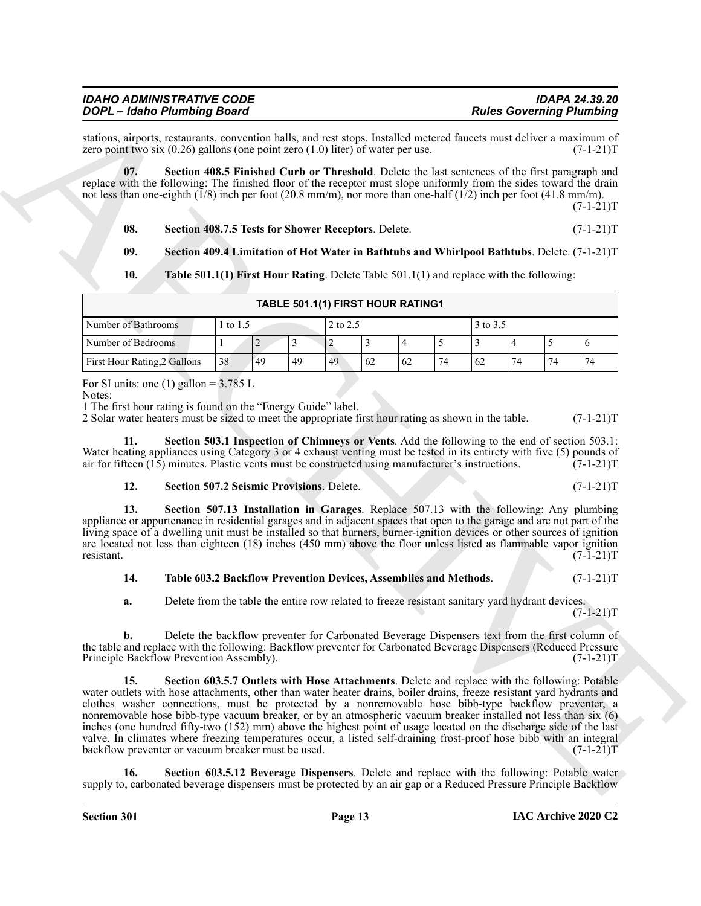stations, airports, restaurants, convention halls, and rest stops. Installed metered faucets must deliver a maximum of zero point two six (0.26) gallons (one point zero (1.0) liter) of water per use. (7-1-21) zero point two six  $(0.26)$  gallons (one point zero  $(1.0)$  liter) of water per use.

**07. Section 408.5 Finished Curb or Threshold**. Delete the last sentences of the first paragraph and replace with the following: The finished floor of the receptor must slope uniformly from the sides toward the drain not less than one-eighth (1/8) inch per foot (20.8 mm/m), nor more than one-half (1/2) inch per foot (41.8 mm/m).  $(7-1-21)T$ 

**08. Section 408.7.5 Tests for Shower Receptors**. Delete. (7-1-21)T

**09. Section 409.4 Limitation of Hot Water in Bathtubs and Whirlpool Bathtubs**. Delete. (7-1-21)T

**10. Table 501.1(1) First Hour Rating**. Delete Table 501.1(1) and replace with the following:

| TABLE 501.1(1) FIRST HOUR RATING1                       |                                                                |   |  |  |  |  |  |  |  |  |  |
|---------------------------------------------------------|----------------------------------------------------------------|---|--|--|--|--|--|--|--|--|--|
| 2 to 2.5<br>3 to 3.5<br>Number of Bathrooms<br>1 to 1.5 |                                                                |   |  |  |  |  |  |  |  |  |  |
| Number of Bedrooms                                      |                                                                | ∼ |  |  |  |  |  |  |  |  |  |
| First Hour Rating, 2 Gallons                            | 49<br>38<br>74<br>74<br>62<br>74<br>49<br>49<br>62<br>74<br>62 |   |  |  |  |  |  |  |  |  |  |

#### For SI units: one (1) gallon =  $3.785$  L

Notes:

1 The first hour rating is found on the "Energy Guide" label.

2 Solar water heaters must be sized to meet the appropriate first hour rating as shown in the table. (7-1-21)T

**11. Section 503.1 Inspection of Chimneys or Vents**. Add the following to the end of section 503.1: Water heating appliances using Category 3 or 4 exhaust venting must be tested in its entirety with five (5) pounds of air for fifteen (15) minutes. Plastic vents must be constructed using manufacturer's instructions. (7-1air for fifteen  $(15)$  minutes. Plastic vents must be constructed using manufacturer's instructions.

### **12. Section 507.2 Seismic Provisions**. Delete. (7-1-21)T

**13. Section 507.13 Installation in Garages**. Replace 507.13 with the following: Any plumbing appliance or appurtenance in residential garages and in adjacent spaces that open to the garage and are not part of the living space of a dwelling unit must be installed so that burners, burner-ignition devices or other sources of ignition are located not less than eighteen (18) inches (450 mm) above the floor unless listed as flammable vapor ignition resistant. (7-1-21)T resistant. (7-1-21)T

### **14. Table 603.2 Backflow Prevention Devices, Assemblies and Methods**. (7-1-21)T

**a.** Delete from the table the entire row related to freeze resistant sanitary yard hydrant devices.  $(7-1-21)T$ 

**b.** Delete the backflow preventer for Carbonated Beverage Dispensers text from the first column of the table and replace with the following: Backflow preventer for Carbonated Beverage Dispensers (Reduced Pressure<br>Principle Backflow Prevention Assembly). (7-1-21)T Principle Backflow Prevention Assembly).

Gold Constraints Basic Constraints and Archives Constraints Basic Constraints and Archives Constraints and Archives Constraints and Archives Constraints and Archives Constraints and Archives Constraints and Archives Const **15. Section 603.5.7 Outlets with Hose Attachments**. Delete and replace with the following: Potable water outlets with hose attachments, other than water heater drains, boiler drains, freeze resistant yard hydrants and clothes washer connections, must be protected by a nonremovable hose bibb-type backflow preventer, a nonremovable hose bibb-type vacuum breaker, or by an atmospheric vacuum breaker installed not less than six (6) inches (one hundred fifty-two (152) mm) above the highest point of usage located on the discharge side of the last valve. In climates where freezing temperatures occur, a listed self-draining frost-proof hose bibb with an integral backflow preventer or vacuum breaker must be used. (7-1-21) backflow preventer or vacuum breaker must be used.

**16. Section 603.5.12 Beverage Dispensers**. Delete and replace with the following: Potable water supply to, carbonated beverage dispensers must be protected by an air gap or a Reduced Pressure Principle Backflow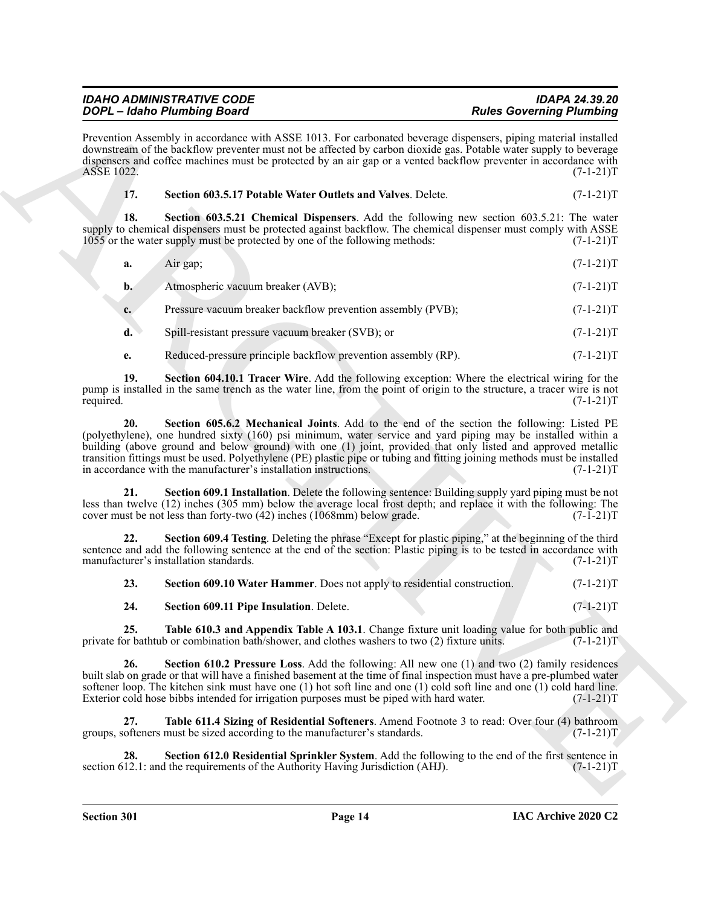| <b>IDAHO ADMINISTRATIVE CODE</b>   | <b>IDAPA 24.39.20</b>           |
|------------------------------------|---------------------------------|
| <b>DOPL</b> - Idaho Plumbing Board | <b>Rules Governing Plumbing</b> |

Prevention Assembly in accordance with ASSE 1013. For carbonated beverage dispensers, piping material installed downstream of the backflow preventer must not be affected by carbon dioxide gas. Potable water supply to beverage dispensers and coffee machines must be protected by an air gap or a vented backflow preventer in accordance with<br>ASSE 1022. (7-1-21)T ASSE 1022.

| Section 603.5.17 Potable Water Outlets and Valves. Delete.<br>17. | $(7-1-21)T$ |
|-------------------------------------------------------------------|-------------|
|-------------------------------------------------------------------|-------------|

**18. Section 603.5.21 Chemical Dispensers**. Add the following new section 603.5.21: The water supply to chemical dispensers must be protected against backflow. The chemical dispenser must comply with ASSE 1055 or the water supply must be protected by one of the following methods: (7-1-21)T

| а.             | Air gap;                                                    | $(7-1-21)T$ |
|----------------|-------------------------------------------------------------|-------------|
| $\mathbf{b}$ . | Atmospheric vacuum breaker (AVB);                           | $(7-1-21)T$ |
|                | Pressure vacuum breaker backflow prevention assembly (PVB); | $(7-1-21)T$ |

**d.** Spill-resistant pressure vacuum breaker (SVB); or  $(7-1-21)$ T

**e.** Reduced-pressure principle backflow prevention assembly (RP).  $(7-1-21)$ T

**19. Section 604.10.1 Tracer Wire**. Add the following exception: Where the electrical wiring for the pump is installed in the same trench as the water line, from the point of origin to the structure, a tracer wire is not required. (7-1-21)T required. (7-1-21)T

**SOCI-Lines Branch and Start and Start and Start and Start and Start and Start and Start and Start and Start and Start and Start and Start and Start and Start and Start and Start and Start and Start and Start and Start an 20. Section 605.6.2 Mechanical Joints**. Add to the end of the section the following: Listed PE (polyethylene), one hundred sixty (160) psi minimum, water service and yard piping may be installed within a building (above ground and below ground) with one (1) joint, provided that only listed and approved metallic transition fittings must be used. Polyethylene (PE) plastic pipe or tubing and fitting joining methods must be installed in accordance with the manufacturer's installation instructions. (7-1-21)T

**21. Section 609.1 Installation**. Delete the following sentence: Building supply yard piping must be not less than twelve (12) inches (305 mm) below the average local frost depth; and replace it with the following: The cover must be not less than forty-two  $(42)$  inches  $(1068 \text{mm})$  below grade.  $(7 - 1 - 21)$ T

**22. Section 609.4 Testing**. Deleting the phrase "Except for plastic piping," at the beginning of the third sentence and add the following sentence at the end of the section: Plastic piping is to be tested in accordance with manufacturer's installation standards. (7-1-21) manufacturer's installation standards.

| 23. | Section 609.10 Water Hammer. Does not apply to residential construction. | $(7-1-21)T$ |
|-----|--------------------------------------------------------------------------|-------------|
| 24. | Section 609.11 Pipe Insulation. Delete.                                  | $(7-1-21)T$ |

**25.** Table 610.3 and Appendix Table A 103.1. Change fixture unit loading value for both public and or bath tub or combination bath/shower, and clothes washers to two (2) fixture units.  $(7-1-21)$ private for bathtub or combination bath/shower, and clothes washers to two (2) fixture units.

**26. Section 610.2 Pressure Loss**. Add the following: All new one (1) and two (2) family residences built slab on grade or that will have a finished basement at the time of final inspection must have a pre-plumbed water softener loop. The kitchen sink must have one (1) hot soft line and one (1) cold soft line and one (1) cold hard line.<br>Exterior cold hose bibbs intended for irrigation purposes must be piped with hard water. (7-1-21)T Exterior cold hose bibbs intended for irrigation purposes must be piped with hard water.

**Table 611.4 Sizing of Residential Softeners**. Amend Footnote 3 to read: Over four (4) bathroom must be sized according to the manufacturer's standards. (7-1-21)T groups, softeners must be sized according to the manufacturer's standards.

**28.** Section 612.0 Residential Sprinkler System. Add the following to the end of the first sentence in 12.1: and the requirements of the Authority Having Jurisdiction (AHJ). (7-1-21)T section 612.1: and the requirements of the Authority Having Jurisdiction (AHJ).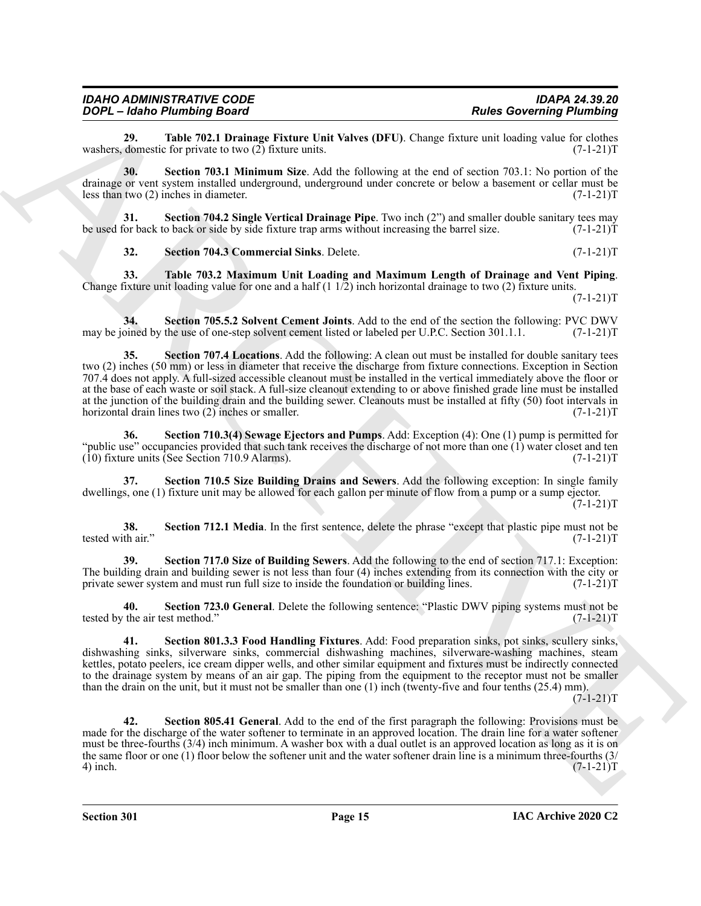**29.** Table 702.1 Drainage Fixture Unit Valves (DFU). Change fixture unit loading value for clothes domestic for private to two (2) fixture units.  $(7-1-21)T$ washers, domestic for private to two  $(2)$  fixture units.

**30. Section 703.1 Minimum Size**. Add the following at the end of section 703.1: No portion of the drainage or vent system installed underground, underground under concrete or below a basement or cellar must be less than two (2) inches in diameter. (7-1-21)T

**31. Section 704.2 Single Vertical Drainage Pipe**. Two inch (2") and smaller double sanitary tees may for back to back or side by side fixture trap arms without increasing the barrel size. (7-1-21) be used for back to back or side by side fixture trap arms without increasing the barrel size.

**32.** Section 704.3 Commercial Sinks. Delete. (7-1-21)T

**33. Table 703.2 Maximum Unit Loading and Maximum Length of Drainage and Vent Piping**. Change fixture unit loading value for one and a half  $(1\ 1/2)$  inch horizontal drainage to two  $(2)$  fixture units.

 $(7-1-21)T$ 

**34.** Section 705.5.2 Solvent Cement Joints. Add to the end of the section the following: PVC DWV oined by the use of one-step solvent cement listed or labeled per U.P.C. Section 301.1.1. (7-1-21)T may be joined by the use of one-step solvent cement listed or labeled per U.P.C. Section 301.1.1.

**EXAMPRENDENT DEATH (And Solvential And Solvential And Solvential And Solvential Photograph (And Solvential Photograph (And Solvential And Solvential And Solvential And Solvential And Solvential And Solvential And Solvent Section 707.4 Locations.** Add the following: A clean out must be installed for double sanitary tees two (2) inches (50 mm) or less in diameter that receive the discharge from fixture connections. Exception in Section 707.4 does not apply. A full-sized accessible cleanout must be installed in the vertical immediately above the floor or at the base of each waste or soil stack. A full-size cleanout extending to or above finished grade line must be installed at the junction of the building drain and the building sewer. Cleanouts must be installed at fifty (50) foot intervals in horizontal drain lines two (2) inches or smaller. (7-1-21)T

**36. Section 710.3(4) Sewage Ejectors and Pumps**. Add: Exception (4): One (1) pump is permitted for "public use" occupancies provided that such tank receives the discharge of not more than one (1) water closet and ten (10) fixture units (See Section 710.9 Alarms). (7-1-21)T

**37. Section 710.5 Size Building Drains and Sewers**. Add the following exception: In single family dwellings, one (1) fixture unit may be allowed for each gallon per minute of flow from a pump or a sump ejector.  $(7-1-21)T$ 

**38.** Section 712.1 Media. In the first sentence, delete the phrase "except that plastic pipe must not be the air."  $(7-1-21)T$ tested with air."

**39. Section 717.0 Size of Building Sewers**. Add the following to the end of section 717.1: Exception: The building drain and building sewer is not less than four (4) inches extending from its connection with the city or private sewer system and must run full size to inside the foundation or building lines. (7-1-21) private sewer system and must run full size to inside the foundation or building lines.

**40. Section 723.0 General**. Delete the following sentence: "Plastic DWV piping systems must not be tested by the air test method." (7-1-21)T

**41. Section 801.3.3 Food Handling Fixtures**. Add: Food preparation sinks, pot sinks, scullery sinks, dishwashing sinks, silverware sinks, commercial dishwashing machines, silverware-washing machines, steam kettles, potato peelers, ice cream dipper wells, and other similar equipment and fixtures must be indirectly connected to the drainage system by means of an air gap. The piping from the equipment to the receptor must not be smaller than the drain on the unit, but it must not be smaller than one (1) inch (twenty-five and four tenths (25.4) mm).

 $(7-1-21)T$ 

**42. Section 805.41 General**. Add to the end of the first paragraph the following: Provisions must be made for the discharge of the water softener to terminate in an approved location. The drain line for a water softener must be three-fourths (3/4) inch minimum. A washer box with a dual outlet is an approved location as long as it is on the same floor or one (1) floor below the softener unit and the water softener drain line is a minimum three-fourths (3/<br>(7-1-21) 4) inch. (7-1-21)T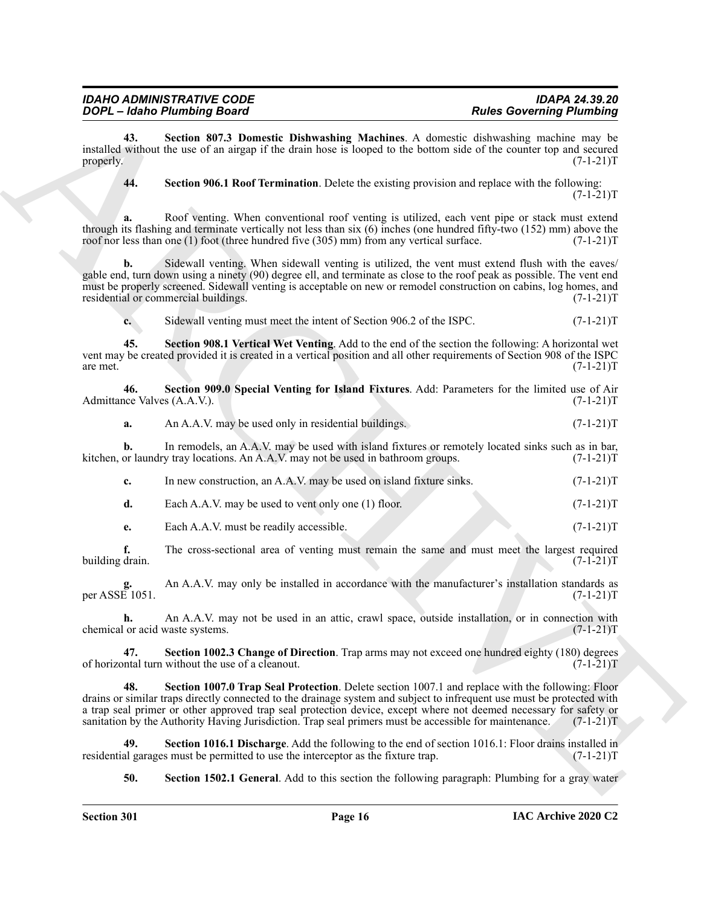| IDAHO ADMINISTRATIVE CODE   |  |
|-----------------------------|--|
| DOPL – Idaho Plumbing Board |  |

**43. Section 807.3 Domestic Dishwashing Machines**. A domestic dishwashing machine may be installed without the use of an airgap if the drain hose is looped to the bottom side of the counter top and secured properly.  $(7-1-21)T$ 

**44. Section 906.1 Roof Termination**. Delete the existing provision and replace with the following:  $(7-1-21)T$ 

**a.** Roof venting. When conventional roof venting is utilized, each vent pipe or stack must extend through its flashing and terminate vertically not less than six (6) inches (one hundred fifty-two (152) mm) above the roof nor less than one (1) foot (three hundred five (305) mm) from any vertical surface. (7-1-21)T

**2004: Conservation Basis Conservation** Basis Conservation Conservation Conservation Conservation Conservation Conservation Conservation Conservation Conservation Conservation Conservation Conservation Conservation Cons **b.** Sidewall venting. When sidewall venting is utilized, the vent must extend flush with the eaves/ gable end, turn down using a ninety (90) degree ell, and terminate as close to the roof peak as possible. The vent end must be properly screened. Sidewall venting is acceptable on new or remodel construction on cabins, log homes, and residential or commercial buildings. (7-1-21)T

**c.** Sidewall venting must meet the intent of Section 906.2 of the ISPC.  $(7-1-21)T$ 

**45. Section 908.1 Vertical Wet Venting**. Add to the end of the section the following: A horizontal wet vent may be created provided it is created in a vertical position and all other requirements of Section 908 of the ISPC are met.  $(7-1-21)T$ are met.  $(7-1-21)T$ 

**46. Section 909.0 Special Venting for Island Fixtures**. Add: Parameters for the limited use of Air Admittance Valves (A.A.V.).

**a.** An A.A.V. may be used only in residential buildings. (7-1-21)

**b.** In remodels, an A.A.V. may be used with island fixtures or remotely located sinks such as in bar, or laundry tray locations. An A.A.V. may not be used in bathroom groups.  $(7-1-21)$ kitchen, or laundry tray locations. An A.A.V. may not be used in bathroom groups.

| In new construction, an A.A.V. may be used on island fixture sinks. | $(7-1-21)T$ |
|---------------------------------------------------------------------|-------------|
| Each A.A.V. may be used to vent only one (1) floor.                 | $(7-1-21)T$ |

**e.** Each A.A.V. must be readily accessible. (7-1-21) T

**f.** The cross-sectional area of venting must remain the same and must meet the largest required drain. (7-1-21)T building drain.

**g.** An A.A.V. may only be installed in accordance with the manufacturer's installation standards as per ASSE  $1051$ .

**h.** An A.A.V. may not be used in an attic, crawl space, outside installation, or in connection with or acid waste systems. (7-1-21) chemical or acid waste systems.

**47.** Section 1002.3 Change of Direction. Trap arms may not exceed one hundred eighty (180) degrees ntal turn without the use of a cleanout. of horizontal turn without the use of a cleanout.

**48. Section 1007.0 Trap Seal Protection**. Delete section 1007.1 and replace with the following: Floor drains or similar traps directly connected to the drainage system and subject to infrequent use must be protected with a trap seal primer or other approved trap seal protection device, except where not deemed necessary for safety or sanitation by the Authority Having Jurisdiction. Trap seal primers must be accessible for maintenance. (7-1-21)T

**49.** Section 1016.1 Discharge. Add the following to the end of section 1016.1: Floor drains installed in al garages must be permitted to use the interceptor as the fixture trap. (7-1-21) residential garages must be permitted to use the interceptor as the fixture trap.

**50. Section 1502.1 General**. Add to this section the following paragraph: Plumbing for a gray water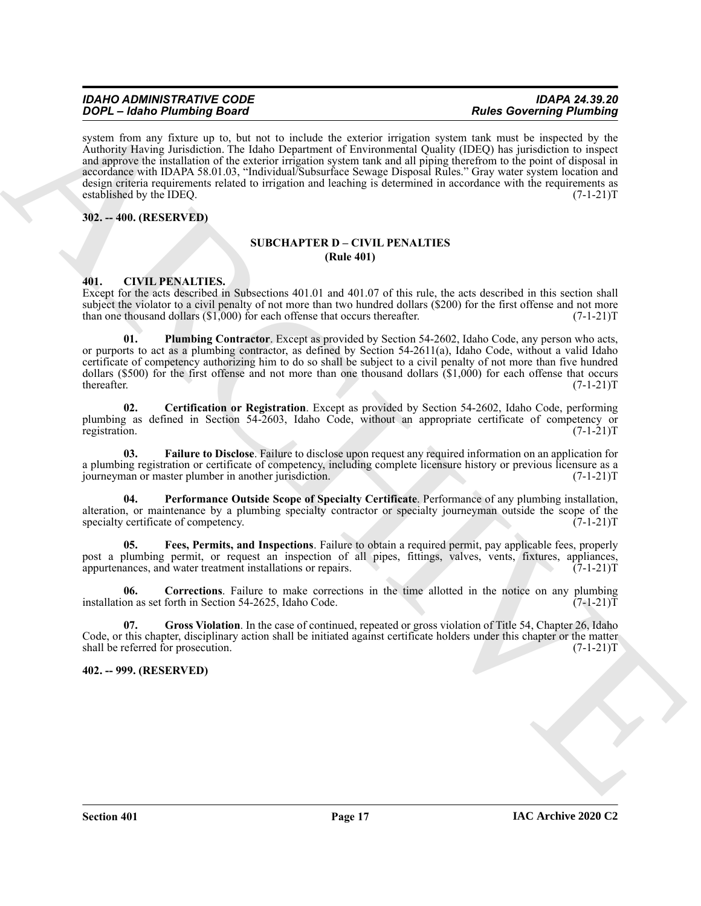**SOC – Learn Strainer, the learn of the main of the strainer of the strainer of the strainer of the strainer of the strainer of the strainer of the strainer of the strainer of the strainer of the strainer of the strainer** system from any fixture up to, but not to include the exterior irrigation system tank must be inspected by the Authority Having Jurisdiction. The Idaho Department of Environmental Quality (IDEQ) has jurisdiction to inspect and approve the installation of the exterior irrigation system tank and all piping therefrom to the point of disposal in accordance with IDAPA 58.01.03, "Individual/Subsurface Sewage Disposal Rules." Gray water system location and design criteria requirements related to irrigation and leaching is determined in accordance with the requirements as established by the IDEQ. (7-1-21)T

<span id="page-16-1"></span><span id="page-16-0"></span>**302. -- 400. (RESERVED)**

#### **SUBCHAPTER D – CIVIL PENALTIES (Rule 401)**

#### <span id="page-16-4"></span><span id="page-16-2"></span>**401. CIVIL PENALTIES.**

Except for the acts described in Subsections 401.01 and 401.07 of this rule, the acts described in this section shall subject the violator to a civil penalty of not more than two hundred dollars (\$200) for the first offense and not more than one thousand dollars  $(\text{S1},000)$  for each offense that occurs thereafter.  $(7-1-21)$ T

<span id="page-16-11"></span>**01. Plumbing Contractor**. Except as provided by Section 54-2602, Idaho Code, any person who acts, or purports to act as a plumbing contractor, as defined by Section 54-2611(a), Idaho Code, without a valid Idaho certificate of competency authorizing him to do so shall be subject to a civil penalty of not more than five hundred dollars (\$500) for the first offense and not more than one thousand dollars (\$1,000) for each offense that occurs thereafter. (7-1-21)T thereafter. (7-1-21)T

<span id="page-16-5"></span>**02. Certification or Registration**. Except as provided by Section 54-2602, Idaho Code, performing plumbing as defined in Section 54-2603, Idaho Code, without an appropriate certificate of competency or registration. (7-1-21)T

<span id="page-16-7"></span>**03. Failure to Disclose**. Failure to disclose upon request any required information on an application for a plumbing registration or certificate of competency, including complete licensure history or previous licensure as a journeyman or master plumber in another jurisdiction. (7-1-21) journeyman or master plumber in another jurisdiction.

<span id="page-16-10"></span>**04. Performance Outside Scope of Specialty Certificate**. Performance of any plumbing installation, alteration, or maintenance by a plumbing specialty contractor or specialty journeyman outside the scope of the specialty certificate of competency. (7-1-21)T

<span id="page-16-8"></span>**05. Fees, Permits, and Inspections**. Failure to obtain a required permit, pay applicable fees, properly post a plumbing permit, or request an inspection of all pipes, fittings, valves, vents, fixtures, appliances, appurtenances, and water treatment installations or repairs. (7-1-21)T

<span id="page-16-6"></span>**06.** Corrections. Failure to make corrections in the time allotted in the notice on any plumbing on as set forth in Section 54-2625, Idaho Code.  $(7-1-21)$ installation as set forth in Section 54-2625, Idaho Code.

<span id="page-16-9"></span>**07. Gross Violation**. In the case of continued, repeated or gross violation of Title 54, Chapter 26, Idaho Code, or this chapter, disciplinary action shall be initiated against certificate holders under this chapter or the matter shall be referred for prosecution. (7-1-21)T

### <span id="page-16-3"></span>**402. -- 999. (RESERVED)**